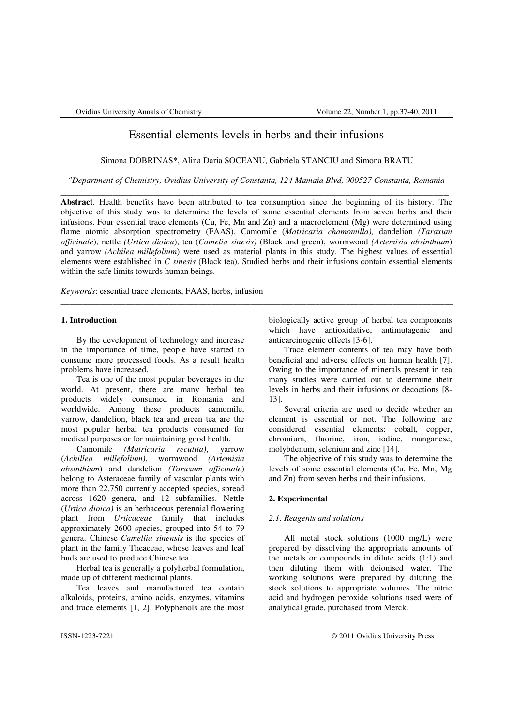# Essential elements levels in herbs and their infusions

Simona DOBRINAS\*, Alina Daria SOCEANU, Gabriela STANCIU and Simona BRATU

*<sup>a</sup>Department of Chemistry, Ovidius University of Constanta, 124 Mamaia Blvd, 900527 Constanta, Romania*  \_\_\_\_\_\_\_\_\_\_\_\_\_\_\_\_\_\_\_\_\_\_\_\_\_\_\_\_\_\_\_\_\_\_\_\_\_\_\_\_\_\_\_\_\_\_\_\_\_\_\_\_\_\_\_\_\_\_\_\_\_\_\_\_\_\_\_\_\_\_\_\_\_\_\_

**Abstract**. Health benefits have been attributed to tea consumption since the beginning of its history. The objective of this study was to determine the levels of some essential elements from seven herbs and their infusions. Four essential trace elements (Cu, Fe, Mn and Zn) and a macroelement (Mg) were determined using flame atomic absorption spectrometry (FAAS). Camomile (*Matricaria chamomilla),* dandelion *(Taraxum officinale*), nettle *(Urtica dioica*), tea (*Camelia sinesis)* (Black and green), wormwood *(Artemisia absinthium*) and yarrow *(Achilea millefolium*) were used as material plants in this study. The highest values of essential elements were established in *C sinesis* (Black tea). Studied herbs and their infusions contain essential elements within the safe limits towards human beings.

\_\_\_\_\_\_\_\_\_\_\_\_\_\_\_\_\_\_\_\_\_\_\_\_\_\_\_\_\_\_\_\_\_\_\_\_\_\_\_\_\_\_\_\_\_\_\_\_\_\_\_\_\_\_\_\_\_\_\_\_\_\_\_\_\_\_\_\_\_\_\_\_\_\_\_\_\_\_\_\_\_\_\_\_\_\_\_\_\_\_\_

*Keywords*: essential trace elements, FAAS, herbs, infusion

# **1. Introduction**

By the development of technology and increase in the importance of time, people have started to consume more processed foods. As a result health problems have increased.

Tea is one of the most popular beverages in the world. At present, there are many herbal tea products widely consumed in Romania and worldwide. Among these products camomile, yarrow, dandelion, black tea and green tea are the most popular herbal tea products consumed for medical purposes or for maintaining good health.

Camomile *(Matricaria recutita)*, yarrow (*Achillea millefolium)*, wormwood *(Artemisia absinthium*) and dandelion *(Taraxum officinale*) belong to Asteraceae family of vascular plants with more than 22.750 currently accepted species, spread across 1620 genera, and 12 subfamilies. Nettle (*Urtica dioica)* is an herbaceous perennial flowering plant from *Urticaceae* family that includes approximately 2600 species, grouped into 54 to 79 genera. Chinese *Camellia sinensis* is the species of plant in the family Theaceae, whose leaves and leaf buds are used to produce Chinese tea.

Herbal tea is generally a polyherbal formulation, made up of different medicinal plants.

Tea leaves and manufactured tea contain alkaloids, proteins, amino acids, enzymes, vitamins and trace elements [1, 2]. Polyphenols are the most biologically active group of herbal tea components which have antioxidative, antimutagenic and anticarcinogenic effects [3-6].

Trace element contents of tea may have both beneficial and adverse effects on human health [7]. Owing to the importance of minerals present in tea many studies were carried out to determine their levels in herbs and their infusions or decoctions [8- 13].

Several criteria are used to decide whether an element is essential or not. The following are considered essential elements: cobalt, copper, chromium, fluorine, iron, iodine, manganese, molybdenum, selenium and zinc [14].

The objective of this study was to determine the levels of some essential elements (Cu, Fe, Mn, Mg and Zn) from seven herbs and their infusions.

# **2. Experimental**

### *2.1. Reagents and solutions*

 All metal stock solutions (1000 mg/L) were prepared by dissolving the appropriate amounts of the metals or compounds in dilute acids (1:1) and then diluting them with deionised water. The working solutions were prepared by diluting the stock solutions to appropriate volumes. The nitric acid and hydrogen peroxide solutions used were of analytical grade, purchased from Merck.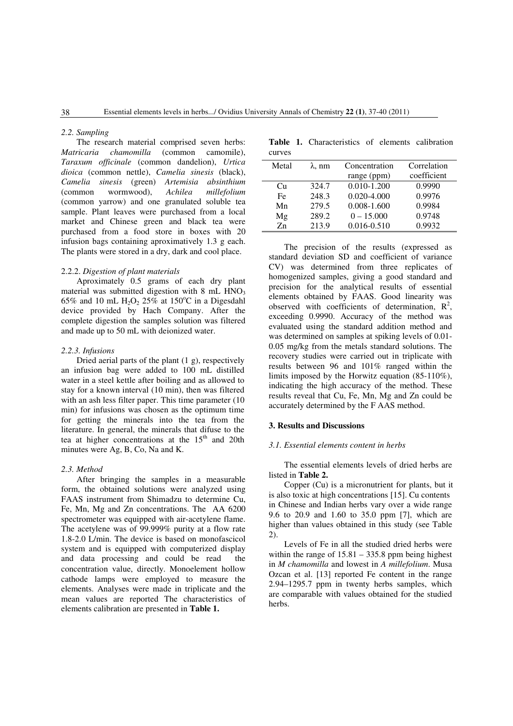#### *2.2. Sampling*

The research material comprised seven herbs: *Matricaria chamomilla* (common camomile), *Taraxum officinale* (common dandelion), *Urtica dioica* (common nettle), *Camelia sinesis* (black), *Camelia sinesis* (green) *Artemisia absinthium* (common wormwood), *Achilea millefolium* (common yarrow) and one granulated soluble tea sample. Plant leaves were purchased from a local market and Chinese green and black tea were purchased from a food store in boxes with 20 infusion bags containing aproximatively 1.3 g each. The plants were stored in a dry, dark and cool place.

# 2.2.2. *Digestion of plant materials*

Aproximately 0.5 grams of each dry plant material was submitted digestion with  $8 \text{ mL HNO}_3$ 65% and 10 mL  $H_2O_2$  25% at 150°C in a Digesdahl device provided by Hach Company. After the complete digestion the samples solution was filtered and made up to 50 mL with deionized water.

## *2.2.3. Infusions*

Dried aerial parts of the plant (1 g), respectively an infusion bag were added to 100 mL distilled water in a steel kettle after boiling and as allowed to stay for a known interval (10 min), then was filtered with an ash less filter paper. This time parameter (10 min) for infusions was chosen as the optimum time for getting the minerals into the tea from the literature. In general, the minerals that difuse to the tea at higher concentrations at the 15<sup>th</sup> and 20th minutes were Ag, B, Co, Na and K.

#### *2.3. Method*

After bringing the samples in a measurable form, the obtained solutions were analyzed using FAAS instrument from Shimadzu to determine Cu, Fe, Mn, Mg and Zn concentrations. The AA 6200 spectrometer was equipped with air-acetylene flame. The acetylene was of 99.999% purity at a flow rate 1.8-2.0 L/min. The device is based on monofascicol system and is equipped with computerized display and data processing and could be read the concentration value, directly. Monoelement hollow cathode lamps were employed to measure the elements. Analyses were made in triplicate and the mean values are reported The characteristics of elements calibration are presented in **Table 1.**

Table 1. Characteristics of elements calibration curves

| Metal | $\lambda$ , nm | Concentration   | Correlation |
|-------|----------------|-----------------|-------------|
|       |                | range (ppm)     | coefficient |
| Cu    | 324.7          | $0.010 - 1.200$ | 0.9990      |
| Fe.   | 248.3          | $0.020 - 4.000$ | 0.9976      |
| Mn    | 279.5          | 0.008-1.600     | 0.9984      |
| Mg    | 289.2          | $0 - 15,000$    | 0.9748      |
| 7n    | 213.9          | 0.016-0.510     | 0.9932      |

The precision of the results (expressed as standard deviation SD and coefficient of variance CV) was determined from three replicates of homogenized samples, giving a good standard and precision for the analytical results of essential elements obtained by FAAS. Good linearity was observed with coefficients of determination,  $R^2$ , exceeding 0.9990. Accuracy of the method was evaluated using the standard addition method and was determined on samples at spiking levels of 0.01- 0.05 mg/kg from the metals standard solutions. The recovery studies were carried out in triplicate with results between 96 and 101% ranged within the limits imposed by the Horwitz equation (85-110%), indicating the high accuracy of the method. These results reveal that Cu, Fe, Mn, Mg and Zn could be accurately determined by the F AAS method.

### **3. Results and Discussions**

#### *3.1. Essential elements content in herbs*

The essential elements levels of dried herbs are listed in **Table 2.**

 Copper (Cu) is a micronutrient for plants, but it is also toxic at high concentrations [15]. Cu contents in Chinese and Indian herbs vary over a wide range 9.6 to 20.9 and 1.60 to 35.0 ppm [7], which are higher than values obtained in this study (see Table 2).

Levels of Fe in all the studied dried herbs were within the range of  $15.81 - 335.8$  ppm being highest in *M chamomilla* and lowest in *A millefolium*. Musa Ozcan et al. [13] reported Fe content in the range 2.94–1295.7 ppm in twenty herbs samples, which are comparable with values obtained for the studied herbs.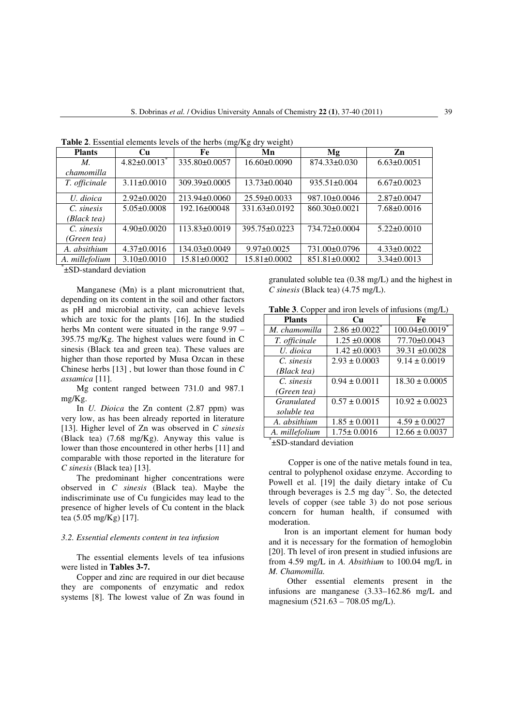| <b>Plants</b>                                           | Cu                | Fe                 | Mn                  | Mg                  | Zn                |
|---------------------------------------------------------|-------------------|--------------------|---------------------|---------------------|-------------------|
| M.                                                      | $4.82 \pm 0.0013$ | 335.80±0.0057      | 16.60±0.0090        | $874.33 \pm 0.030$  | $6.63 \pm 0.0051$ |
| chamomilla                                              |                   |                    |                     |                     |                   |
| T. officinale                                           | $3.11 \pm 0.0010$ | 309.39±0.0005      | $13.73 \pm 0.0040$  | $935.51 \pm 0.004$  | $6.67 \pm 0.0023$ |
|                                                         |                   |                    |                     |                     |                   |
| U. dioica                                               | $2.92 \pm 0.0020$ | $213.94\pm0.0060$  | $25.59\pm0.0033$    | $987.10\pm0.0046$   | $2.87\pm0.0047$   |
| C. sinesis                                              | $5.05 \pm 0.0008$ | 192.16±00048       | 331.63±0.0192       | 860.30±0.0021       | $7.68 \pm 0.0016$ |
| (Black tea)                                             |                   |                    |                     |                     |                   |
| C. sinesis                                              | $4.90 \pm 0.0020$ | 113.83±0.0019      | $395.75 \pm 0.0223$ | 734.72±0.0004       | $5.22 \pm 0.0010$ |
| (Green tea)                                             |                   |                    |                     |                     |                   |
| A. absithium                                            | $4.37\pm0.0016$   | 134.03±0.0049      | $9.97 \pm 0.0025$   | 731.00±0.0796       | $4.33 \pm 0.0022$ |
| A. millefolium                                          | $3.10\pm0.0010$   | $15.81 \pm 0.0002$ | $15.81 \pm 0.0002$  | $851.81 \pm 0.0002$ | $3.34\pm0.0013$   |
| $\sim$ $\sim$ $\sim$ $\sim$ $\sim$ $\sim$ $\sim$ $\sim$ |                   |                    |                     |                     |                   |

**Table 2**. Essential elements levels of the herbs (mg/Kg dry weight)

\* ±SD-standard deviation

Manganese (Mn) is a plant micronutrient that, depending on its content in the soil and other factors as pH and microbial activity, can achieve levels which are toxic for the plants [16]. In the studied herbs Mn content were situated in the range 9.97 – 395.75 mg/Kg. The highest values were found in C sinesis (Black tea and green tea). These values are higher than those reported by Musa Ozcan in these Chinese herbs [13] , but lower than those found in *C assamica* [11].

Mg content ranged between 731.0 and 987.1 mg/Kg.

In *U. Dioica* the Zn content (2.87 ppm) was very low, as has been already reported in literature [13]. Higher level of Zn was observed in *C sinesis* (Black tea) (7.68 mg/Kg). Anyway this value is lower than those encountered in other herbs [11] and comparable with those reported in the literature for *C sinesis* (Black tea) [13].

The predominant higher concentrations were observed in *C sinesis* (Black tea). Maybe the indiscriminate use of Cu fungicides may lead to the presence of higher levels of Cu content in the black tea (5.05 mg/Kg) [17].

## *3.2. Essential elements content in tea infusion*

The essential elements levels of tea infusions were listed in **Tables 3-7.**

Copper and zinc are required in our diet because they are components of enzymatic and redox systems [8]. The lowest value of Zn was found in granulated soluble tea (0.38 mg/L) and the highest in *C sinesis* (Black tea) (4.75 mg/L).

| <b>Table 3.</b> Copper and iron levels of infusions (mg/L) |  |  |  |  |  |  |
|------------------------------------------------------------|--|--|--|--|--|--|
|------------------------------------------------------------|--|--|--|--|--|--|

| <b>Plants</b>       | Cи                | Fe                               |
|---------------------|-------------------|----------------------------------|
| M. chamomilla       | $2.86 \pm 0.0022$ | $100.04 \pm 0.0019$ <sup>*</sup> |
| T. officinale       | $1.25 \pm 0.0008$ | 77.70±0.0043                     |
| U. dioica           | $1.42 \pm 0.0003$ | $39.31 \pm 0.0028$               |
| C. sinesis          | $2.93 \pm 0.0003$ | $9.14 \pm 0.0019$                |
| (Black tea)         |                   |                                  |
| C. sinesis          | $0.94 \pm 0.0011$ | $18.30 \pm 0.0005$               |
| (Green tea)         |                   |                                  |
| <i>Granulated</i>   | $0.57 \pm 0.0015$ | $10.92 \pm 0.0023$               |
| soluble tea         |                   |                                  |
| A. absithium        | $1.85 \pm 0.0011$ | $4.59 \pm 0.0027$                |
| A. millefolium<br>÷ | $1.75 \pm 0.0016$ | $12.66 \pm 0.0037$               |

\* ±SD-standard deviation

Copper is one of the native metals found in tea, central to polyphenol oxidase enzyme. According to Powell et al. [19] the daily dietary intake of Cu through beverages is 2.5 mg day<sup> $-1$ </sup>. So, the detected levels of copper (see table 3) do not pose serious concern for human health, if consumed with moderation.

Iron is an important element for human body and it is necessary for the formation of hemoglobin [20]. Th level of iron present in studied infusions are from 4.59 mg/L in *A. Absithium* to 100.04 mg/L in *M. Chamomilla.* 

Other essential elements present in the infusions are manganese (3.33–162.86 mg/L and magnesium (521.63 – 708.05 mg/L).